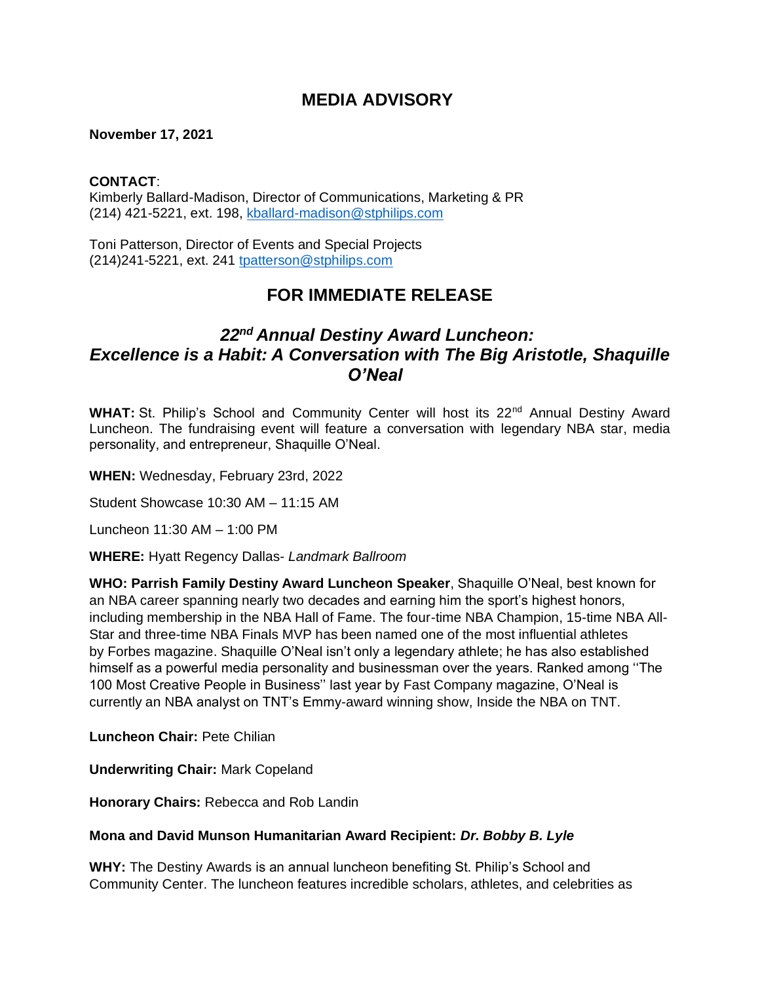# **MEDIA ADVISORY**

### **November 17, 2021**

#### **CONTACT**:

Kimberly Ballard-Madison, Director of Communications, Marketing & PR (214) 421-5221, ext. 198, [kballard-madison@stphilips.com](mailto:kballard-madison@stphilips.com)

Toni Patterson, Director of Events and Special Projects (214)241-5221, ext. 241 [tpatterson@stphilips.com](mailto:tpatterson@stphilips.com)

## **FOR IMMEDIATE RELEASE**

# *22nd Annual Destiny Award Luncheon: Excellence is a Habit: A Conversation with The Big Aristotle, Shaquille O'Neal*

WHAT: St. Philip's School and Community Center will host its 22<sup>nd</sup> Annual Destiny Award Luncheon. The fundraising event will feature a conversation with legendary NBA star, media personality, and entrepreneur, Shaquille O'Neal.

**WHEN:** Wednesday, February 23rd, 2022

Student Showcase 10:30 AM – 11:15 AM

Luncheon 11:30 AM – 1:00 PM

**WHERE:** Hyatt Regency Dallas- *Landmark Ballroom* 

**WHO: Parrish Family Destiny Award Luncheon Speaker**, Shaquille O'Neal, best known for an NBA career spanning nearly two decades and earning him the sport's highest honors, including membership in the NBA Hall of Fame. The four-time NBA Champion, 15-time NBA All-Star and three-time NBA Finals MVP has been named one of the most influential athletes by Forbes magazine. Shaquille O'Neal isn't only a legendary athlete; he has also established himself as a powerful media personality and businessman over the years. Ranked among ''The 100 Most Creative People in Business'' last year by Fast Company magazine, O'Neal is currently an NBA analyst on TNT's Emmy-award winning show, Inside the NBA on TNT.

**Luncheon Chair:** Pete Chilian

**Underwriting Chair:** Mark Copeland

**Honorary Chairs:** Rebecca and Rob Landin

### **Mona and David Munson Humanitarian Award Recipient:** *Dr. Bobby B. Lyle*

**WHY:** The Destiny Awards is an annual luncheon benefiting St. Philip's School and Community Center. The luncheon features incredible scholars, athletes, and celebrities as